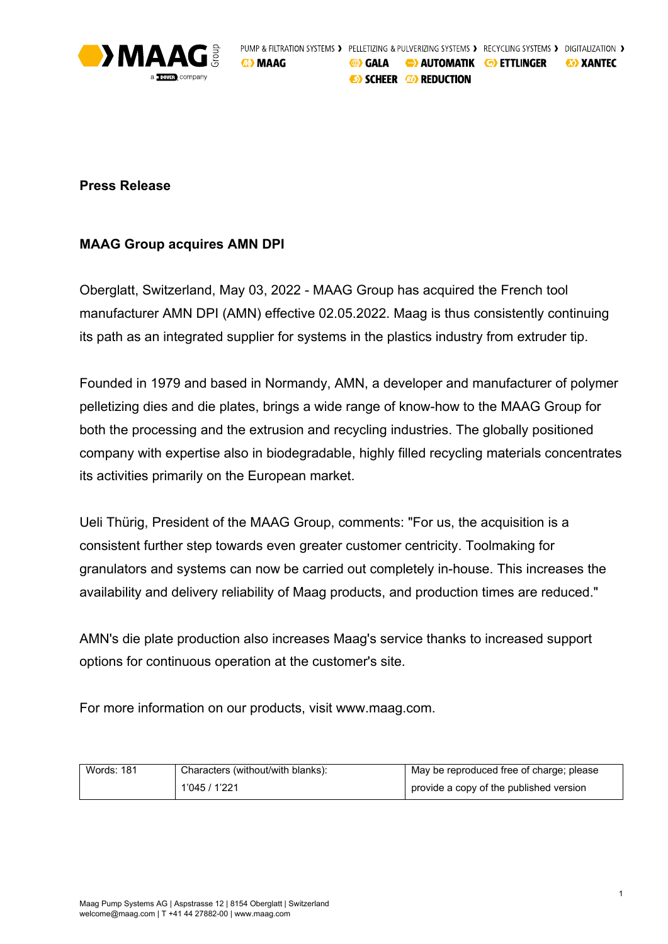

## **Press Release**

# **MAAG Group acquires AMN DPI**

Oberglatt, Switzerland, May 03, 2022 - MAAG Group has acquired the French tool manufacturer AMN DPI (AMN) effective 02.05.2022. Maag is thus consistently continuing its path as an integrated supplier for systems in the plastics industry from extruder tip.

Founded in 1979 and based in Normandy, AMN, a developer and manufacturer of polymer pelletizing dies and die plates, brings a wide range of know-how to the MAAG Group for both the processing and the extrusion and recycling industries. The globally positioned company with expertise also in biodegradable, highly filled recycling materials concentrates its activities primarily on the European market.

Ueli Thürig, President of the MAAG Group, comments: "For us, the acquisition is a consistent further step towards even greater customer centricity. Toolmaking for granulators and systems can now be carried out completely in-house. This increases the availability and delivery reliability of Maag products, and production times are reduced."

AMN's die plate production also increases Maag's service thanks to increased support options for continuous operation at the customer's site.

For more information on our products, visit www.maag.com.

| <b>Words: 181</b> | Characters (without/with blanks): | May be reproduced free of charge; please |
|-------------------|-----------------------------------|------------------------------------------|
|                   | 1'045 / 1'221                     | provide a copy of the published version  |